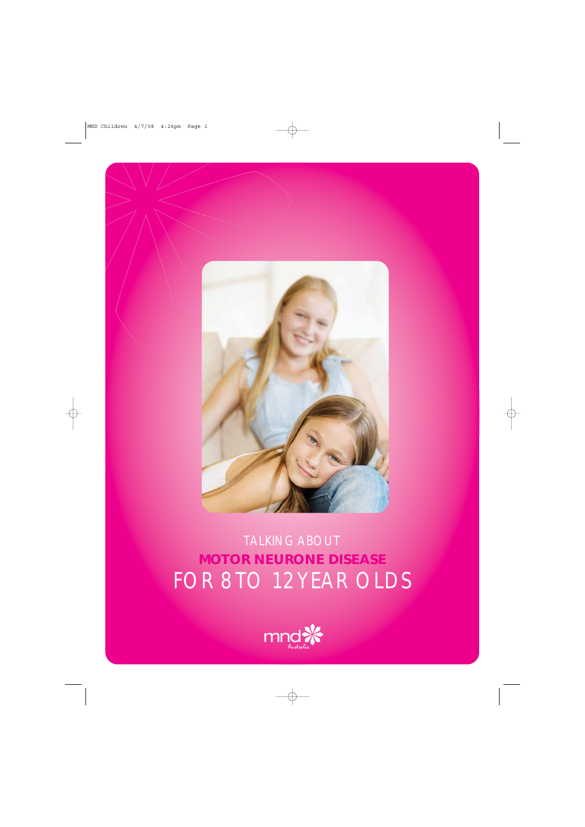

### TALKING ABOUT **MOTOR NEURONE DISEASE** FOR 8 TO 12 YEAR OLDS

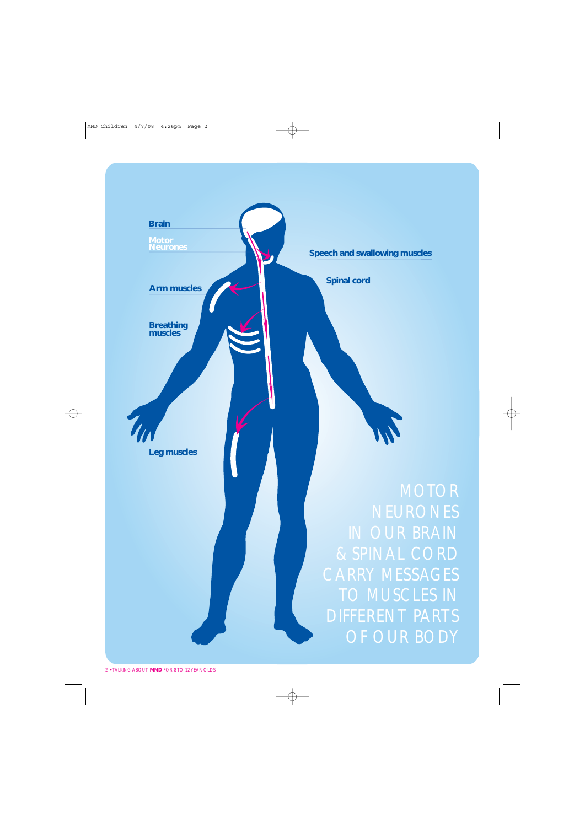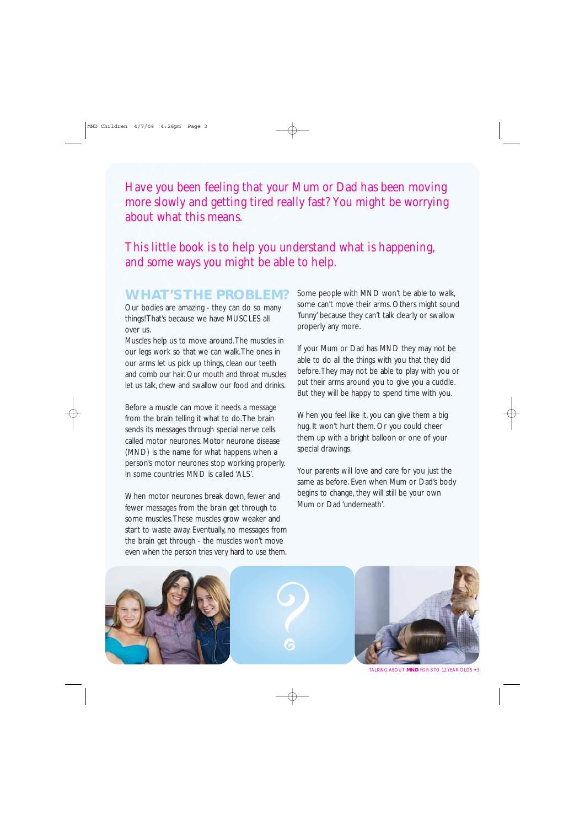Have you been feeling that your Mum or Dad has been moving more slowly and getting tired really fast? You might be worrying about what this means.

### This little book is to help you understand what is happening, and some ways you might be able to help.

### **WHAT'S THE PROBLEM?**

Our bodies are amazing - they can do so many things! That's because we have MUSCLES all over us.

Muscles help us to move around.The muscles in our legs work so that we can walk.The ones in our arms let us pick up things, clean our teeth and comb our hair. Our mouth and throat muscles let us talk, chew and swallow our food and drinks.

Before a muscle can move it needs a message from the brain telling it what to do.The brain sends its messages through special nerve cells called motor neurones. Motor neurone disease (MND) is the name for what happens when a person's motor neurones stop working properly. In some countries MND is called 'ALS'.

When motor neurones break down, fewer and fewer messages from the brain get through to some muscles.These muscles grow weaker and start to waste away. Eventually, no messages from the brain get through - the muscles won't move even when the person tries very hard to use them.

Some people with MND won't be able to walk, some can't move their arms. Others might sound 'funny' because they can't talk clearly or swallow properly any more.

If your Mum or Dad has MND they may not be able to do all the things with you that they did before.They may not be able to play with you or put their arms around you to give you a cuddle. But they will be happy to spend time with you.

When you feel like it, you can give them a big hug. It won't hurt them. Or you could cheer them up with a bright balloon or one of your special drawings.

Your parents will love and care for you just the same as before. Even when Mum or Dad's body begins to change, they will still be your own Mum or Dad 'underneath'.







TALKING ABOUT **MND** FOR 8 TO 12 YEAR OLDS **•** 3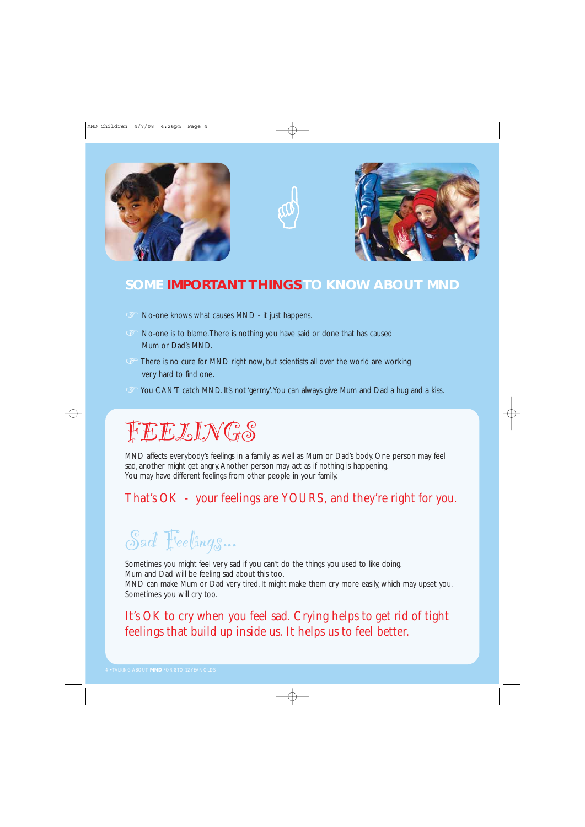





### **SOME IMPORTANT THINGSTO KNOW ABOUT MND**

- No-one knows what causes MND it just happens.
- No-one is to blame.There is nothing you have said or done that has caused Mum or Dad's MND.
- G<sup>-</sup> There is no cure for MND right now, but scientists all over the world are working very hard to find one.
- G You CAN'T catch MND. It's not 'germy'. You can always give Mum and Dad a hug and a kiss.

### FEELINGS

MND affects everybody's feelings in a family as well as Mum or Dad's body. One person may feel sad, another might get angry. Another person may act as if nothing is happening. You may have different feelings from other people in your family.

### That's OK - your feelings are YOURS, and they're right for you.

## Sad Feelings...

Sometimes you might feel very sad if you can't do the things you used to like doing. Mum and Dad will be feeling sad about this too.

MND can make Mum or Dad very tired. It might make them cry more easily, which may upset you. Sometimes you will cry too.

### It's OK to cry when you feel sad. Crying helps to get rid of tight feelings that build up inside us. It helps us to feel better.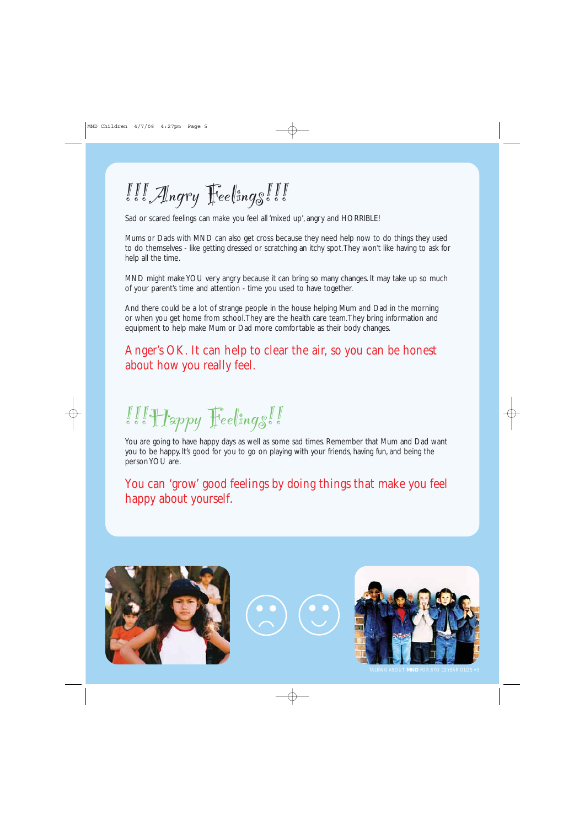# III Angry Feelings!!!

Sad or scared feelings can make you feel all 'mixed up', angry and HORRIBLE!

Mums or Dads with MND can also get cross because they need help now to do things they used to do themselves - like getting dressed or scratching an itchy spot.They won't like having to ask for help all the time.

MND might make YOU very angry because it can bring so many changes. It may take up so much of your parent's time and attention - time you used to have together.

And there could be a lot of strange people in the house helping Mum and Dad in the morning or when you get home from school.They are the health care team.They bring information and equipment to help make Mum or Dad more comfortable as their body changes.

### Anger's OK. It can help to clear the air, so you can be honest about how you really feel.

 $\llbracket \llbracket \rrbracket$  Happy  $\llbracket \text{`ee} \rrbracket$  ings.

You are going to have happy days as well as some sad times. Remember that Mum and Dad want you to be happy. It's good for you to go on playing with your friends, having fun, and being the person YOU are.

You can 'grow' good feelings by doing things that make you feel happy about yourself.



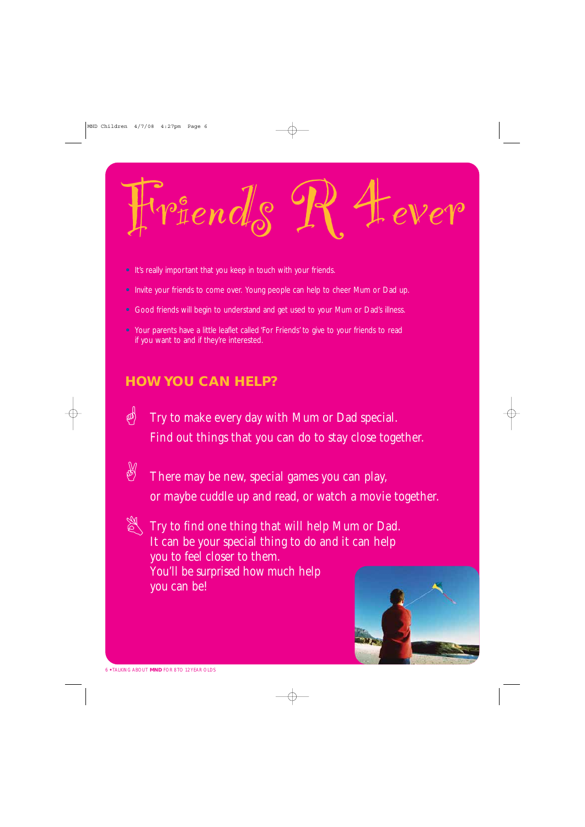Friends R 4ever

- **•** It's really important that you keep in touch with your friends.
- **•** Invite your friends to come over. Young people can help to cheer Mum or Dad up.
- **•** Good friends will begin to understand and get used to your Mum or Dad's illness.
- **•** Your parents have a little leaflet called 'For Friends' to give to your friends to read if you want to and if they're interested.

### **HOW YOU CAN HELP?**

- $\langle \phi \rangle$  Try to make every day with Mum or Dad special. Find out things that you can do to stay close together.
- $\overline{\mathcal{C}}$  There may be new, special games you can play, or maybe cuddle up and read, or watch a movie together.
- Try to find one thing that will help Mum or Dad. It can be your special thing to do and it can help you to feel closer to them. You'll be surprised how much help you can be! A

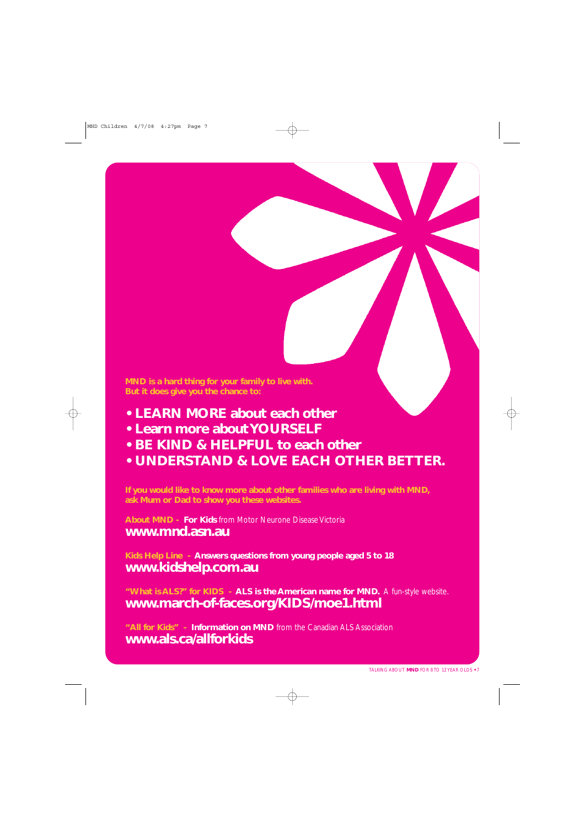**MND is a hard thing for your family to live with. But it does give you the chance to:**

- **LEARN MORE about each other**
- **Learn more about YOURSELF**
- **BE KIND & HELPFUL to each other**
- **UNDERSTAND & LOVE EACH OTHER BETTER.**

**If you would like to know more about other families who are living with MND, ask Mum or Dad to show you these websites.**

**About MND - For Kids** from Motor Neurone Disease Victoria **www.mnd.asn.au**

**Kids Help Line - Answers questions from young people aged 5 to 18 www.kidshelp.com.au**

**"What is ALS?" for KIDS - ALS is the American name for MND.** A fun-style website. **www.march-of-faces.org/KIDS/moe1.html**

**"All for Kids" - Information on MND** from the Canadian ALS Association **www.als.ca/allforkids**